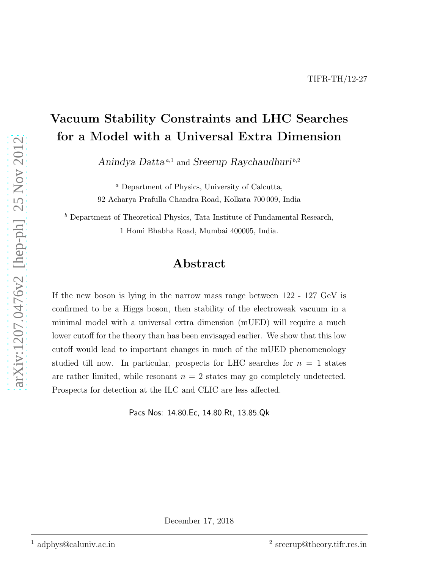## Vacuum Stability Constraints and LHC Searches for a Model with a Universal Extra Dimension

Anindya Datta<sup>*a*,1</sup> and Sreerup Raychaudhuri<sup>b,2</sup>

<sup>a</sup> Department of Physics, University of Calcutta, 92 Acharya Prafulla Chandra Road, Kolkata 700 009, India

 $<sup>b</sup>$  Department of Theoretical Physics, Tata Institute of Fundamental Research,</sup> 1 Homi Bhabha Road, Mumbai 400005, India.

## Abstract

If the new boson is lying in the narrow mass range between 122 - 127 GeV is confirmed to be a Higgs boson, then stability of the electroweak vacuum in a minimal model with a universal extra dimension (mUED) will require a much lower cutoff for the theory than has been envisaged earlier. We show that this low cutoff would lead to important changes in much of the mUED phenomenology studied till now. In particular, prospects for LHC searches for  $n = 1$  states are rather limited, while resonant  $n = 2$  states may go completely undetected. Prospects for detection at the ILC and CLIC are less affected.

Pacs Nos: 14.80.Ec, 14.80.Rt, 13.85.Qk

December 17, 2018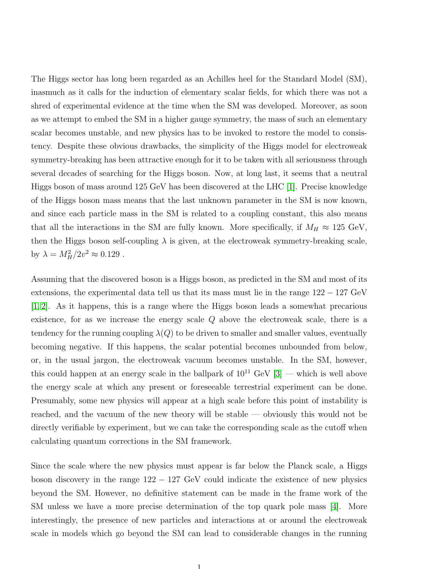The Higgs sector has long been regarded as an Achilles heel for the Standard Model (SM), inasmuch as it calls for the induction of elementary scalar fields, for which there was not a shred of experimental evidence at the time when the SM was developed. Moreover, as soon as we attempt to embed the SM in a higher gauge symmetry, the mass of such an elementary scalar becomes unstable, and new physics has to be invoked to restore the model to consistency. Despite these obvious drawbacks, the simplicity of the Higgs model for electroweak symmetry-breaking has been attractive enough for it to be taken with all seriousness through several decades of searching for the Higgs boson. Now, at long last, it seems that a neutral Higgs boson of mass around 125 GeV has been discovered at the LHC [\[1\]](#page-16-0). Precise knowledge of the Higgs boson mass means that the last unknown parameter in the SM is now known, and since each particle mass in the SM is related to a coupling constant, this also means that all the interactions in the SM are fully known. More specifically, if  $M_H \approx 125 \text{ GeV}$ , then the Higgs boson self-coupling  $\lambda$  is given, at the electroweak symmetry-breaking scale, by  $\lambda = M_H^2/2v^2 \approx 0.129$ .

Assuming that the discovered boson is a Higgs boson, as predicted in the SM and most of its extensions, the experimental data tell us that its mass must lie in the range 122 − 127 GeV [\[1,](#page-16-0) [2\]](#page-16-1). As it happens, this is a range where the Higgs boson leads a somewhat precarious existence, for as we increase the energy scale Q above the electroweak scale, there is a tendency for the running coupling  $\lambda(Q)$  to be driven to smaller and smaller values, eventually becoming negative. If this happens, the scalar potential becomes unbounded from below, or, in the usual jargon, the electroweak vacuum becomes unstable. In the SM, however, this could happen at an energy scale in the ballpark of  $10^{11}$  GeV  $[3]$  — which is well above the energy scale at which any present or foreseeable terrestrial experiment can be done. Presumably, some new physics will appear at a high scale before this point of instability is reached, and the vacuum of the new theory will be stable — obviously this would not be directly verifiable by experiment, but we can take the corresponding scale as the cutoff when calculating quantum corrections in the SM framework.

Since the scale where the new physics must appear is far below the Planck scale, a Higgs boson discovery in the range  $122 - 127$  GeV could indicate the existence of new physics beyond the SM. However, no definitive statement can be made in the frame work of the SM unless we have a more precise determination of the top quark pole mass [\[4\]](#page-16-3). More interestingly, the presence of new particles and interactions at or around the electroweak scale in models which go beyond the SM can lead to considerable changes in the running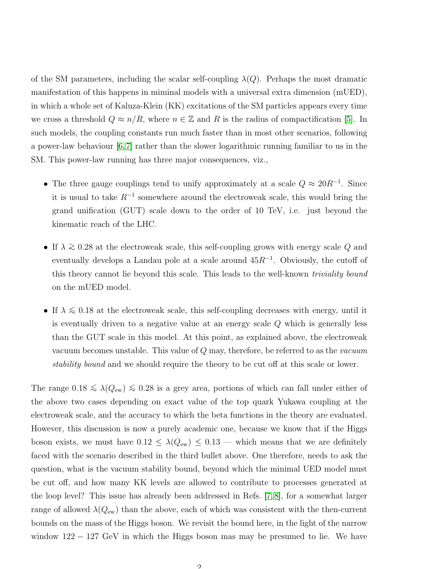of the SM parameters, including the scalar self-coupling  $\lambda(Q)$ . Perhaps the most dramatic manifestation of this happens in miminal models with a universal extra dimension (mUED), in which a whole set of Kaluza-Klein (KK) excitations of the SM particles appears every time we cross a threshold  $Q \approx n/R$ , where  $n \in \mathbb{Z}$  and R is the radius of compactification [\[5\]](#page-16-4). In such models, the coupling constants run much faster than in most other scenarios, following a power-law behaviour  $[6,7]$  $[6,7]$  rather than the slower logarithmic running familiar to us in the SM. This power-law running has three major consequences, viz.,

- The three gauge couplings tend to unify approximately at a scale  $Q \approx 20R^{-1}$ . Since it is usual to take  $R^{-1}$  somewhere around the electroweak scale, this would bring the grand unification (GUT) scale down to the order of 10 TeV, i.e. just beyond the kinematic reach of the LHC.
- If  $\lambda \gtrsim 0.28$  at the electroweak scale, this self-coupling grows with energy scale Q and eventually develops a Landau pole at a scale around  $45R^{-1}$ . Obviously, the cutoff of this theory cannot lie beyond this scale. This leads to the well-known triviality bound on the mUED model.
- If  $\lambda \leq 0.18$  at the electroweak scale, this self-coupling decreases with energy, until it is eventually driven to a negative value at an energy scale Q which is generally less than the GUT scale in this model. At this point, as explained above, the electroweak vacuum becomes unstable. This value of  $Q$  may, therefore, be referred to as the *vacuum* stability bound and we should require the theory to be cut off at this scale or lower.

The range  $0.18 \leq \lambda(Q_{ew}) \leq 0.28$  is a grey area, portions of which can fall under either of the above two cases depending on exact value of the top quark Yukawa coupling at the electroweak scale, and the accuracy to which the beta functions in the theory are evaluated. However, this discussion is now a purely academic one, because we know that if the Higgs boson exists, we must have  $0.12 \leq \lambda(Q_{\rm ew}) \leq 0.13$  — which means that we are definitely faced with the scenario described in the third bullet above. One therefore, needs to ask the question, what is the vacuum stability bound, beyond which the minimal UED model must be cut off, and how many KK levels are allowed to contribute to processes generated at the loop level? This issue has already been addressed in Refs. [\[7,](#page-16-6) [8\]](#page-16-7), for a somewhat larger range of allowed  $\lambda(Q_{ew})$  than the above, each of which was consistent with the then-current bounds on the mass of the Higgs boson. We revisit the bound here, in the light of the narrow window 122 − 127 GeV in which the Higgs boson mas may be presumed to lie. We have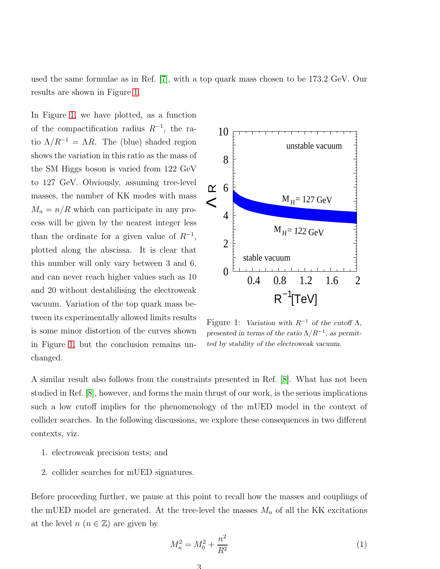used the same formulae as in Ref. [\[7\]](#page-16-6), with a top quark mass chosen to be 173.2 GeV. Our results are shown in Figure [1.](#page-3-0)

In Figure [1,](#page-3-0) we have plotted, as a function of the compactification radius  $R^{-1}$ , the ratio  $\Lambda/R^{-1} = \Lambda R$ . The (blue) shaded region shows the variation in this ratio as the mass of the SM Higgs boson is varied from 122 GeV to 127 GeV. Obviously, assuming tree-level masses, the number of KK modes with mass  $M_n = n/R$  which can participate in any process will be given by the nearest integer less than the ordinate for a given value of  $R^{-1}$ , plotted along the abscissa. It is clear that this number will only vary between 3 and 6, and can never reach higher values such as 10 and 20 without destabilising the electroweak vacuum. Variation of the top quark mass between its experimentally allowed limits results is some minor distortion of the curves shown in Figure [1,](#page-3-0) but the conclusion remains unchanged.



<span id="page-3-0"></span>Figure 1: Variation with  $R^{-1}$  of the cutoff  $\Lambda$ , presented in terms of the ratio  $\Lambda/R^{-1}$ , as permitted by stability of the electroweak vacuum.

A similar result also follows from the constraints presented in Ref. [\[8\]](#page-16-7). What has not been studied in Ref. [\[8\]](#page-16-7), however, and forms the main thrust of our work, is the serious implications such a low cutoff implies for the phenomenology of the mUED model in the context of collider searches. In the following discussions, we explore these consequences in two different contexts, viz.

- 1. electroweak precision tests; and
- 2. collider searches for mUED signatures.

Before proceeding further, we pause at this point to recall how the masses and couplings of the mUED model are generated. At the tree-level the masses  $M_n$  of all the KK excitations at the level  $n (n \in \mathbb{Z})$  are given by

<span id="page-3-1"></span>
$$
M_n^2 = M_0^2 + \frac{n^2}{R^2} \tag{1}
$$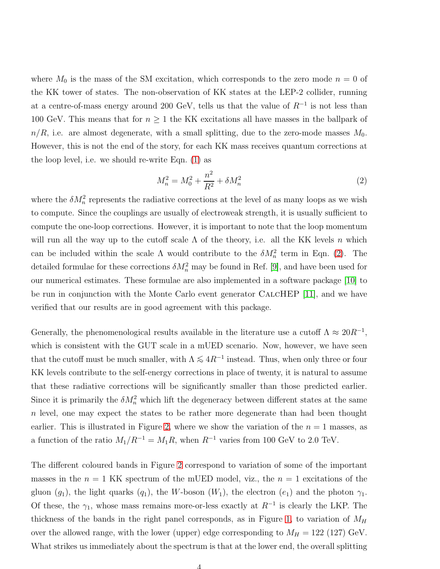where  $M_0$  is the mass of the SM excitation, which corresponds to the zero mode  $n = 0$  of the KK tower of states. The non-observation of KK states at the LEP-2 collider, running at a centre-of-mass energy around 200 GeV, tells us that the value of  $R^{-1}$  is not less than 100 GeV. This means that for  $n \geq 1$  the KK excitations all have masses in the ballpark of  $n/R$ , i.e. are almost degenerate, with a small splitting, due to the zero-mode masses  $M_0$ . However, this is not the end of the story, for each KK mass receives quantum corrections at the loop level, i.e. we should re-write Eqn. [\(1\)](#page-3-1) as

<span id="page-4-0"></span>
$$
M_n^2 = M_0^2 + \frac{n^2}{R^2} + \delta M_n^2 \tag{2}
$$

where the  $\delta M_n^2$  represents the radiative corrections at the level of as many loops as we wish to compute. Since the couplings are usually of electroweak strength, it is usually sufficient to compute the one-loop corrections. However, it is important to note that the loop momentum will run all the way up to the cutoff scale  $\Lambda$  of the theory, i.e. all the KK levels n which can be included within the scale  $\Lambda$  would contribute to the  $\delta M_n^2$  term in Eqn. [\(2\)](#page-4-0). The detailed formulae for these corrections  $\delta M_n^2$  may be found in Ref. [\[9\]](#page-16-8), and have been used for our numerical estimates. These formulae are also implemented in a software package [\[10\]](#page-16-9) to be run in conjunction with the Monte Carlo event generator CalcHEP [\[11\]](#page-17-0), and we have verified that our results are in good agreement with this package.

Generally, the phenomenological results available in the literature use a cutoff  $\Lambda \approx 20R^{-1}$ , which is consistent with the GUT scale in a mUED scenario. Now, however, we have seen that the cutoff must be much smaller, with  $\Lambda \leq 4R^{-1}$  instead. Thus, when only three or four KK levels contribute to the self-energy corrections in place of twenty, it is natural to assume that these radiative corrections will be significantly smaller than those predicted earlier. Since it is primarily the  $\delta M_n^2$  which lift the degeneracy between different states at the same n level, one may expect the states to be rather more degenerate than had been thought earlier. This is illustrated in Figure [2,](#page-5-0) where we show the variation of the  $n = 1$  masses, as a function of the ratio  $M_1/R^{-1} = M_1R$ , when  $R^{-1}$  varies from 100 GeV to 2.0 TeV.

The different coloured bands in Figure [2](#page-5-0) correspond to variation of some of the important masses in the  $n = 1$  KK spectrum of the mUED model, viz., the  $n = 1$  excitations of the gluon (g<sub>1</sub>), the light quarks (q<sub>1</sub>), the W-boson ( $W_1$ ), the electron (e<sub>1</sub>) and the photon  $\gamma_1$ . Of these, the  $\gamma_1$ , whose mass remains more-or-less exactly at  $R^{-1}$  is clearly the LKP. The thickness of the bands in the right panel corresponds, as in Figure [1,](#page-3-0) to variation of  $M_H$ over the allowed range, with the lower (upper) edge corresponding to  $M_H = 122$  (127) GeV. What strikes us immediately about the spectrum is that at the lower end, the overall splitting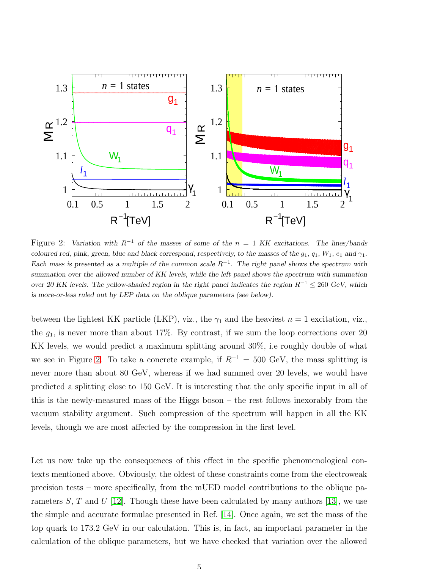

<span id="page-5-0"></span>Figure 2: Variation with  $R^{-1}$  of the masses of some of the  $n = 1$  KK excitations. The lines/bands coloured red, pink, green, blue and black correspond, respectively, to the masses of the  $g_1, g_1, W_1, e_1$  and  $\gamma_1$ . Each mass is presented as a multiple of the common scale  $R^{-1}$ . The right panel shows the spectrum with summation over the allowed number of KK levels, while the left panel shows the spectrum with summation over 20 KK levels. The yellow-shaded region in the right panel indicates the region  $R^{-1} \leq 260 \text{ GeV}$ , which is more-or-less ruled out by LEP data on the oblique parameters (see below).

between the lightest KK particle (LKP), viz., the  $\gamma_1$  and the heaviest  $n = 1$  excitation, viz., the  $g_1$ , is never more than about 17%. By contrast, if we sum the loop corrections over 20 KK levels, we would predict a maximum splitting around 30%, i.e roughly double of what we see in Figure [2.](#page-5-0) To take a concrete example, if  $R^{-1} = 500$  GeV, the mass splitting is never more than about 80 GeV, whereas if we had summed over 20 levels, we would have predicted a splitting close to 150 GeV. It is interesting that the only specific input in all of this is the newly-measured mass of the Higgs boson – the rest follows inexorably from the vacuum stability argument. Such compression of the spectrum will happen in all the KK levels, though we are most affected by the compression in the first level.

Let us now take up the consequences of this effect in the specific phenomenological contexts mentioned above. Obviously, the oldest of these constraints come from the electroweak precision tests – more specifically, from the mUED model contributions to the oblique parameters  $S$ ,  $T$  and  $U$  [\[12\]](#page-17-1). Though these have been calculated by many authors [\[13\]](#page-17-2), we use the simple and accurate formulae presented in Ref. [\[14\]](#page-17-3). Once again, we set the mass of the top quark to 173.2 GeV in our calculation. This is, in fact, an important parameter in the calculation of the oblique parameters, but we have checked that variation over the allowed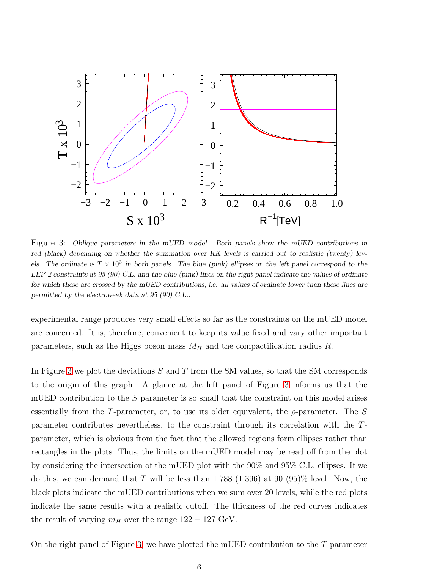

<span id="page-6-0"></span>Figure 3: Oblique parameters in the mUED model. Both panels show the mUED contributions in red (black) depending on whether the summation over KK levels is carried out to realistic (twenty) levels. The ordinate is  $T \times 10^3$  in both panels. The blue (pink) ellipses on the left panel correspond to the LEP-2 constraints at 95 (90) C.L. and the blue (pink) lines on the right panel indicate the values of ordinate for which these are crossed by the mUED contributions, i.e. all values of ordinate lower than these lines are permitted by the electroweak data at 95 (90) C.L..

experimental range produces very small effects so far as the constraints on the mUED model are concerned. It is, therefore, convenient to keep its value fixed and vary other important parameters, such as the Higgs boson mass  $M_H$  and the compactification radius R.

In Figure [3](#page-6-0) we plot the deviations  $S$  and  $T$  from the SM values, so that the SM corresponds to the origin of this graph. A glance at the left panel of Figure [3](#page-6-0) informs us that the mUED contribution to the S parameter is so small that the constraint on this model arises essentially from the T-parameter, or, to use its older equivalent, the  $\rho$ -parameter. The S parameter contributes nevertheless, to the constraint through its correlation with the Tparameter, which is obvious from the fact that the allowed regions form ellipses rather than rectangles in the plots. Thus, the limits on the mUED model may be read off from the plot by considering the intersection of the mUED plot with the 90% and 95% C.L. ellipses. If we do this, we can demand that T will be less than 1.788 (1.396) at 90 (95)% level. Now, the black plots indicate the mUED contributions when we sum over 20 levels, while the red plots indicate the same results with a realistic cutoff. The thickness of the red curves indicates the result of varying  $m_H$  over the range  $122 - 127$  GeV.

On the right panel of Figure [3,](#page-6-0) we have plotted the mUED contribution to the  $T$  parameter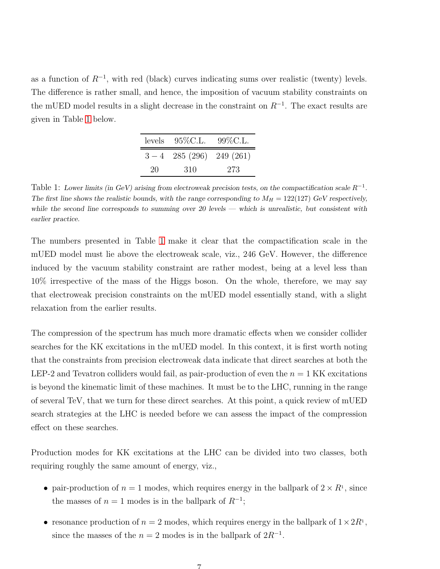as a function of  $R^{-1}$ , with red (black) curves indicating sums over realistic (twenty) levels. The difference is rather small, and hence, the imposition of vacuum stability constraints on the mUED model results in a slight decrease in the constraint on  $R^{-1}$ . The exact results are given in Table [1](#page-7-0) below.

|    | levels $95\%$ C.L.        | $99\%$ C.L. |
|----|---------------------------|-------------|
|    | $3-4$ 285 (296) 249 (261) |             |
| 20 | 310                       | 273         |

<span id="page-7-0"></span>Table 1: Lower limits (in GeV) arising from electroweak precision tests, on the compactification scale  $R^{-1}$ . The first line shows the realistic bounds, with the range corresponding to  $M_H = 122(127)$  GeV respectively, while the second line corresponds to summing over 20 levels — which is unrealistic, but consistent with earlier practice.

The numbers presented in Table [1](#page-7-0) make it clear that the compactification scale in the mUED model must lie above the electroweak scale, viz., 246 GeV. However, the difference induced by the vacuum stability constraint are rather modest, being at a level less than 10% irrespective of the mass of the Higgs boson. On the whole, therefore, we may say that electroweak precision constraints on the mUED model essentially stand, with a slight relaxation from the earlier results.

The compression of the spectrum has much more dramatic effects when we consider collider searches for the KK excitations in the mUED model. In this context, it is first worth noting that the constraints from precision electroweak data indicate that direct searches at both the LEP-2 and Tevatron colliders would fail, as pair-production of even the  $n = 1$  KK excitations is beyond the kinematic limit of these machines. It must be to the LHC, running in the range of several TeV, that we turn for these direct searches. At this point, a quick review of mUED search strategies at the LHC is needed before we can assess the impact of the compression effect on these searches.

Production modes for KK excitations at the LHC can be divided into two classes, both requiring roughly the same amount of energy, viz.,

- pair-production of  $n = 1$  modes, which requires energy in the ballpark of  $2 \times R<sup>1</sup>$ , since the masses of  $n = 1$  modes is in the ballpark of  $R^{-1}$ ;
- resonance production of  $n = 2$  modes, which requires energy in the ballpark of  $1 \times 2R^1$ , since the masses of the  $n = 2$  modes is in the ballpark of  $2R^{-1}$ .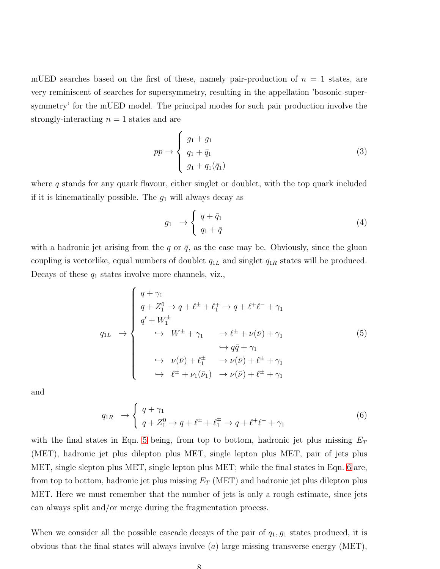mUED searches based on the first of these, namely pair-production of  $n = 1$  states, are very reminiscent of searches for supersymmetry, resulting in the appellation 'bosonic supersymmetry' for the mUED model. The principal modes for such pair production involve the strongly-interacting  $n = 1$  states and are

<span id="page-8-2"></span>
$$
pp \to \begin{cases} g_1 + g_1 \\ q_1 + \bar{q}_1 \\ g_1 + q_1(\bar{q}_1) \end{cases} \tag{3}
$$

where  $q$  stands for any quark flavour, either singlet or doublet, with the top quark included if it is kinematically possible. The  $g_1$  will always decay as

$$
g_1 \rightarrow \begin{cases} q + \bar{q}_1 \\ q_1 + \bar{q} \end{cases} \tag{4}
$$

with a hadronic jet arising from the q or  $\bar{q}$ , as the case may be. Obviously, since the gluon coupling is vectorlike, equal numbers of doublet  $q_{1L}$  and singlet  $q_{1R}$  states will be produced. Decays of these  $q_1$  states involve more channels, viz.,

<span id="page-8-0"></span>
$$
q_{1L} \rightarrow \begin{cases} q + \gamma_1 \\ q + Z_1^0 \rightarrow q + \ell^{\pm} + \ell_1^{\mp} \rightarrow q + \ell^{\pm} \ell^- + \gamma_1 \\ q' + W_1^{\pm} \\ \rightarrow W^{\pm} + \gamma_1 \rightarrow \ell^{\pm} + \nu(\bar{\nu}) + \gamma_1 \\ \rightarrow q\bar{q} + \gamma_1 \\ \rightarrow \nu(\bar{\nu}) + \ell_1^{\pm} \rightarrow \nu(\bar{\nu}) + \ell^{\pm} + \gamma_1 \\ \rightarrow \ell^{\pm} + \nu_1(\bar{\nu}_1) \rightarrow \nu(\bar{\nu}) + \ell^{\pm} + \gamma_1 \end{cases} (5)
$$

and

<span id="page-8-1"></span>
$$
q_{1R} \to \begin{cases} q + \gamma_1 \\ q + Z_1^0 \to q + \ell^{\pm} + \ell_1^{\mp} \to q + \ell^{\mp} \ell^- + \gamma_1 \end{cases} (6)
$$

with the final states in Eqn. [5](#page-8-0) being, from top to bottom, hadronic jet plus missing  $E_T$ (MET), hadronic jet plus dilepton plus MET, single lepton plus MET, pair of jets plus MET, single slepton plus MET, single lepton plus MET; while the final states in Eqn. [6](#page-8-1) are, from top to bottom, hadronic jet plus missing  $E_T$  (MET) and hadronic jet plus dilepton plus MET. Here we must remember that the number of jets is only a rough estimate, since jets can always split and/or merge during the fragmentation process.

When we consider all the possible cascade decays of the pair of  $q_1, g_1$  states produced, it is obvious that the final states will always involve  $(a)$  large missing transverse energy (MET),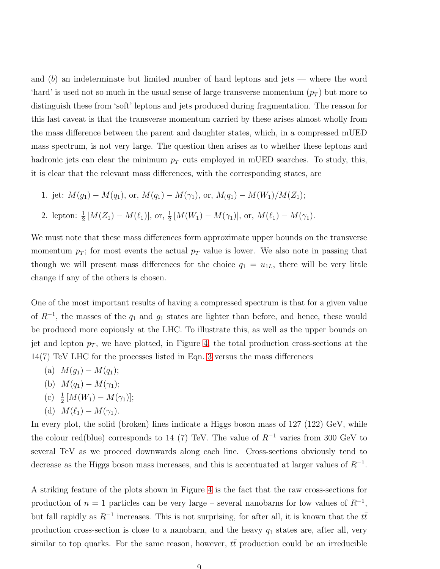and  $(b)$  an indeterminate but limited number of hard leptons and jets — where the word 'hard' is used not so much in the usual sense of large transverse momentum  $(p_T)$  but more to distinguish these from 'soft' leptons and jets produced during fragmentation. The reason for this last caveat is that the transverse momentum carried by these arises almost wholly from the mass difference between the parent and daughter states, which, in a compressed mUED mass spectrum, is not very large. The question then arises as to whether these leptons and hadronic jets can clear the minimum  $p_T$  cuts employed in mUED searches. To study, this, it is clear that the relevant mass differences, with the corresponding states, are

1. jet:  $M(q_1) - M(q_1)$ , or,  $M(q_1) - M(\gamma_1)$ , or,  $M(q_1) - M(W_1)/M(Z_1)$ ; 2. lepton:  $\frac{1}{2}[M(Z_1) - M(\ell_1)],$  or,  $\frac{1}{2}[M(W_1) - M(\gamma_1)],$  or,  $M(\ell_1) - M(\gamma_1)$ .

We must note that these mass differences form approximate upper bounds on the transverse momentum  $p_T$ ; for most events the actual  $p_T$  value is lower. We also note in passing that though we will present mass differences for the choice  $q_1 = u_{1L}$ , there will be very little change if any of the others is chosen.

One of the most important results of having a compressed spectrum is that for a given value of  $R^{-1}$ , the masses of the  $q_1$  and  $g_1$  states are lighter than before, and hence, these would be produced more copiously at the LHC. To illustrate this, as well as the upper bounds on jet and lepton  $p_T$ , we have plotted, in Figure [4,](#page-10-0) the total production cross-sections at the 14(7) TeV LHC for the processes listed in Eqn. [3](#page-8-2) versus the mass differences

- (a)  $M(g_1) M(q_1);$
- (b)  $M(q_1) M(\gamma_1);$
- (c)  $\frac{1}{2}[M(W_1) M(\gamma_1)];$
- (d)  $M(\ell_1) M(\gamma_1)$ .

In every plot, the solid (broken) lines indicate a Higgs boson mass of 127 (122) GeV, while the colour red(blue) corresponds to 14 (7) TeV. The value of  $R^{-1}$  varies from 300 GeV to several TeV as we proceed downwards along each line. Cross-sections obviously tend to decrease as the Higgs boson mass increases, and this is accentuated at larger values of  $R^{-1}$ .

A striking feature of the plots shown in Figure [4](#page-10-0) is the fact that the raw cross-sections for production of  $n = 1$  particles can be very large – several nanobarns for low values of  $R^{-1}$ , but fall rapidly as  $R^{-1}$  increases. This is not surprising, for after all, it is known that the  $t\bar{t}$ production cross-section is close to a nanobarn, and the heavy  $q_1$  states are, after all, very similar to top quarks. For the same reason, however,  $t\bar{t}$  production could be an irreducible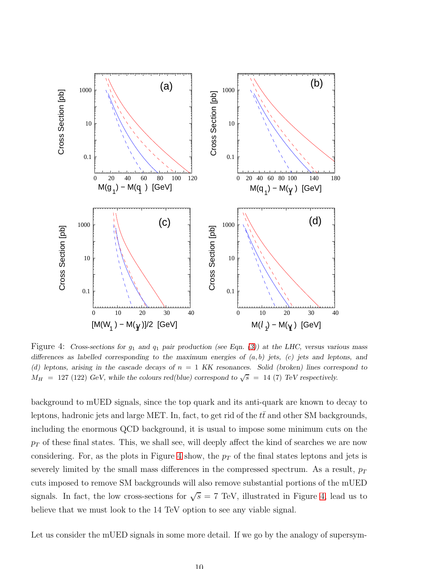

<span id="page-10-0"></span>Figure 4: Cross-sections for  $g_1$  and  $q_1$  pair production (see Eqn. [\(3\)](#page-8-2)) at the LHC, versus various mass differences as labelled corresponding to the maximum energies of  $(a, b)$  jets,  $(c)$  jets and leptons, and (d) leptons, arising in the cascade decays of  $n = 1$  KK resonances. Solid (broken) lines correspond to  $M_H$  = 127 (122) GeV, while the colours red(blue) correspond to  $\sqrt{s}$  = 14 (7) TeV respectively.

background to mUED signals, since the top quark and its anti-quark are known to decay to leptons, hadronic jets and large MET. In, fact, to get rid of the  $t\bar{t}$  and other SM backgrounds, including the enormous QCD background, it is usual to impose some minimum cuts on the  $p_T$  of these final states. This, we shall see, will deeply affect the kind of searches we are now considering. For, as the plots in Figure [4](#page-10-0) show, the  $p<sub>T</sub>$  of the final states leptons and jets is severely limited by the small mass differences in the compressed spectrum. As a result,  $p_T$ cuts imposed to remove SM backgrounds will also remove substantial portions of the mUED signals. In fact, the low cross-sections for  $\sqrt{s} = 7$  TeV, illustrated in Figure [4,](#page-10-0) lead us to believe that we must look to the 14 TeV option to see any viable signal.

Let us consider the mUED signals in some more detail. If we go by the analogy of supersym-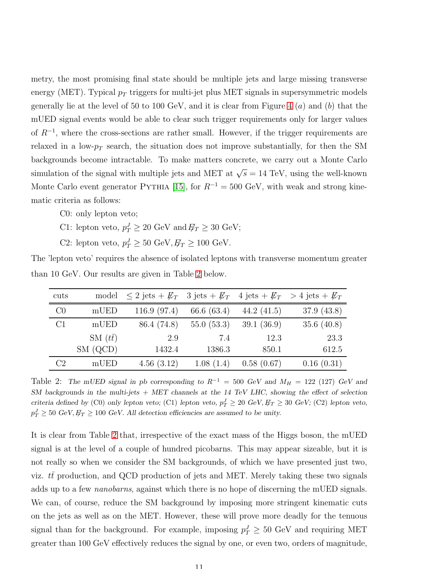metry, the most promising final state should be multiple jets and large missing transverse energy (MET). Typical  $p_T$  triggers for multi-jet plus MET signals in supersymmetric models generally lie at the level of 50 to 100 GeV, and it is clear from Figure [4](#page-10-0)  $(a)$  and  $(b)$  that the mUED signal events would be able to clear such trigger requirements only for larger values of R<sup>−</sup><sup>1</sup> , where the cross-sections are rather small. However, if the trigger requirements are relaxed in a low- $p_T$  search, the situation does not improve substantially, for then the SM backgrounds become intractable. To make matters concrete, we carry out a Monte Carlo simulation of the signal with multiple jets and MET at  $\sqrt{s} = 14$  TeV, using the well-known Monte Carlo event generator PYTHIA [\[15\]](#page-17-4), for  $R^{-1} = 500$  GeV, with weak and strong kinematic criteria as follows:

C0: only lepton veto;

- C1: lepton veto,  $p_T^J \ge 20 \text{ GeV}$  and  $E_T \ge 30 \text{ GeV}$ ;
- C2: lepton veto,  $p_T^J \ge 50 \text{ GeV}, E_T \ge 100 \text{ GeV}.$

| han 10 GeV. Our results are given in Table 2 below. |  |  |                                                                                                    |  |  |  |
|-----------------------------------------------------|--|--|----------------------------------------------------------------------------------------------------|--|--|--|
| cuts                                                |  |  | model $\leq 2$ jets + $\not{E_T}$ 3 jets + $\not{E_T}$ 4 jets + $\not{E_T}$ > 4 jets + $\not{E_T}$ |  |  |  |
| C <sub>0</sub>                                      |  |  | mUED $116.9 (97.4) 66.6 (63.4) 44.2 (41.5) 37.9 (43.8)$                                            |  |  |  |

The 'lepton veto' requires the absence of isolated leptons with transverse momentum greater than 10 GeV. Our results are given in Table [2](#page-11-0) below.

| C1 | mUED            | 86.4 (74.8) | $55.0(53.3)$ 39.1 (36.9) |            | 35.6 $(40.8)$ |
|----|-----------------|-------------|--------------------------|------------|---------------|
|    | $SM (t\bar{t})$ | 2.9         | 7.4                      | 12.3       | 23.3          |
|    | SM (QCD)        | 1432.4      | 1386.3                   | 850.1      | 612.5         |
| C2 | mUED            | 4.56(3.12)  | 1.08(1.4)                | 0.58(0.67) | 0.16(0.31)    |
|    |                 |             |                          |            |               |

<span id="page-11-0"></span>Table 2: The mUED signal in pb corresponding to  $R^{-1} = 500 \text{ GeV}$  and  $M_H = 122$  (127) GeV and SM backgrounds in the multi-jets  $+$  MET channels at the 14 TeV LHC, showing the effect of selection criteria defined by (C0) only lepton veto; (C1) lepton veto,  $p_T^J \ge 20 \text{ GeV}, E_T \ge 30 \text{ GeV}$ ; (C2) lepton veto,  $p_T^J \ge 50 \text{ GeV}, E_T \ge 100 \text{ GeV}.$  All detection efficiencies are assumed to be unity.

It is clear from Table [2](#page-11-0) that, irrespective of the exact mass of the Higgs boson, the mUED signal is at the level of a couple of hundred picobarns. This may appear sizeable, but it is not really so when we consider the SM backgrounds, of which we have presented just two, viz.  $tt$  production, and QCD production of jets and MET. Merely taking these two signals adds up to a few *nanobarns*, against which there is no hope of discerning the mUED signals. We can, of course, reduce the SM background by imposing more stringent kinematic cuts on the jets as well as on the MET. However, these will prove more deadly for the tenuous signal than for the background. For example, imposing  $p_T^J \geq 50$  GeV and requiring MET greater than 100 GeV effectively reduces the signal by one, or even two, orders of magnitude,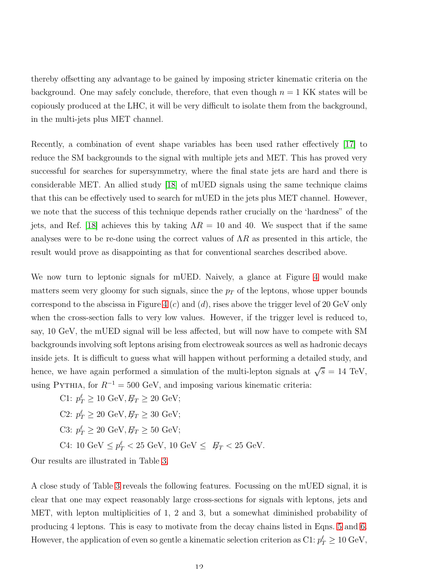thereby offsetting any advantage to be gained by imposing stricter kinematic criteria on the background. One may safely conclude, therefore, that even though  $n = 1$  KK states will be copiously produced at the LHC, it will be very difficult to isolate them from the background, in the multi-jets plus MET channel.

Recently, a combination of event shape variables has been used rather effectively [\[17\]](#page-17-5) to reduce the SM backgrounds to the signal with multiple jets and MET. This has proved very successful for searches for supersymmetry, where the final state jets are hard and there is considerable MET. An allied study [\[18\]](#page-17-6) of mUED signals using the same technique claims that this can be effectively used to search for mUED in the jets plus MET channel. However, we note that the success of this technique depends rather crucially on the 'hardness" of the jets, and Ref. [\[18\]](#page-17-6) achieves this by taking  $\Lambda R = 10$  and 40. We suspect that if the same analyses were to be re-done using the correct values of  $\Lambda R$  as presented in this article, the result would prove as disappointing as that for conventional searches described above.

We now turn to leptonic signals for mUED. Naively, a glance at Figure [4](#page-10-0) would make matters seem very gloomy for such signals, since the  $p<sub>T</sub>$  of the leptons, whose upper bounds correspond to the abscissa in Figure [4](#page-10-0)  $(c)$  and  $(d)$ , rises above the trigger level of 20 GeV only when the cross-section falls to very low values. However, if the trigger level is reduced to, say, 10 GeV, the mUED signal will be less affected, but will now have to compete with SM backgrounds involving soft leptons arising from electroweak sources as well as hadronic decays inside jets. It is difficult to guess what will happen without performing a detailed study, and hence, we have again performed a simulation of the multi-lepton signals at  $\sqrt{s} = 14$  TeV, using PYTHIA, for  $R^{-1} = 500 \text{ GeV}$ , and imposing various kinematic criteria:

C1:  $p_T^{\ell} \ge 10 \text{ GeV}, E_T \ge 20 \text{ GeV};$ 

C2:  $p_T^{\ell} \ge 20 \text{ GeV}, E_T \ge 30 \text{ GeV};$ 

C3:  $p_T^{\ell} \ge 20 \text{ GeV}, E_T \ge 50 \text{ GeV};$ 

C4: 10 GeV  $\leq p_T^{\ell} < 25$  GeV, 10 GeV  $\leq \mathbb{F}_T < 25$  GeV.

Our results are illustrated in Table [3.](#page-13-0)

A close study of Table [3](#page-13-0) reveals the following features. Focussing on the mUED signal, it is clear that one may expect reasonably large cross-sections for signals with leptons, jets and MET, with lepton multiplicities of 1, 2 and 3, but a somewhat diminished probability of producing 4 leptons. This is easy to motivate from the decay chains listed in Eqns. [5](#page-8-0) and [6.](#page-8-1) However, the application of even so gentle a kinematic selection criterion as  $C1: p_T^{\ell} \geq 10 \text{ GeV}$ ,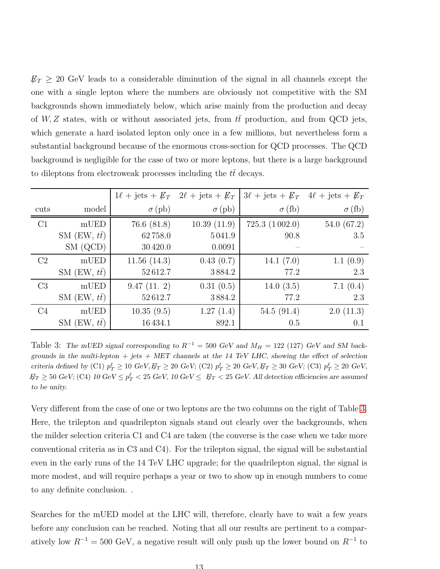$\not\!\!E_T \geq 20$  GeV leads to a considerable diminution of the signal in all channels except the one with a single lepton where the numbers are obviously not competitive with the SM backgrounds shown immediately below, which arise mainly from the production and decay of  $W, Z$  states, with or without associated jets, from tt production, and from QCD jets, which generate a hard isolated lepton only once in a few millions, but nevertheless form a substantial background because of the enormous cross-section for QCD processes. The QCD background is negligible for the case of two or more leptons, but there is a large background to dileptons from electroweak processes including the  $t\bar{t}$  decays.

|                |                     |               | $1\ell + \text{jets} + \cancel{E}_T$ $2\ell + \text{jets} + \cancel{E}_T$ |               | $3\ell + \text{jets} + \cancel{E}_T$ $4\ell + \text{jets} + \cancel{E}_T$ |
|----------------|---------------------|---------------|---------------------------------------------------------------------------|---------------|---------------------------------------------------------------------------|
| cuts           | model               | $\sigma$ (pb) | $\sigma$ (pb)                                                             | $\sigma$ (fb) | $\sigma$ (fb)                                                             |
| C1             | mUED                | 76.6(81.8)    | 10.39(11.9)                                                               | 725.3(1002.0) | 54.0 $(67.2)$                                                             |
|                | SM $(EW, t\bar{t})$ | 62758.0       | 5041.9                                                                    | 90.8          | 3.5                                                                       |
|                | SM (QCD)            | 30420.0       | 0.0091                                                                    |               |                                                                           |
| C <sub>2</sub> | mUED                | 11.56(14.3)   | 0.43(0.7)                                                                 | 14.1 $(7.0)$  | 1.1(0.9)                                                                  |
|                | SM $(EW, t\bar{t})$ | 52612.7       | 3884.2                                                                    | 77.2          | 2.3                                                                       |
| C <sub>3</sub> | mUED                | 9.47(11.2)    | 0.31(0.5)                                                                 | 14.0(3.5)     | 7.1 $(0.4)$                                                               |
|                | SM $(EW, t\bar{t})$ | 52612.7       | 3884.2                                                                    | 77.2          | 2.3                                                                       |
| C <sub>4</sub> | mUED                | 10.35(9.5)    | 1.27(1.4)                                                                 | 54.5(91.4)    | 2.0(11.3)                                                                 |
|                | SM $(EW, t\bar{t})$ | 16434.1       | 892.1                                                                     | 0.5           | 0.1                                                                       |

<span id="page-13-0"></span>Table 3: The mUED signal corresponding to  $R^{-1} = 500 \text{ GeV}$  and  $M_H = 122$  (127) GeV and SM backgrounds in the multi-lepton  $+$  jets  $+$  MET channels at the 14 TeV LHC, showing the effect of selection criteria defined by (C1)  $p_T^{\ell} \ge 10$  GeV,  $E_T \ge 20$  GeV; (C2)  $p_T^{\ell} \ge 20$  GeV,  $E_T \ge 30$  GeV; (C3)  $p_T^{\ell} \ge 20$  GeV,  $E_F \geq 50$  GeV; (C4)  $10 \text{ GeV} \leq p_T^{\ell} < 25 \text{ GeV}$ ,  $10 \text{ GeV} \leq E_T < 25 \text{ GeV}$ . All detection efficiencies are assumed to be unity.

Very different from the case of one or two leptons are the two columns on the right of Table [3.](#page-13-0) Here, the trilepton and quadrilepton signals stand out clearly over the backgrounds, when the milder selection criteria C1 and C4 are taken (the converse is the case when we take more conventional criteria as in C3 and C4). For the trilepton signal, the signal will be substantial even in the early runs of the 14 TeV LHC upgrade; for the quadrilepton signal, the signal is more modest, and will require perhaps a year or two to show up in enough numbers to come to any definite conclusion. .

Searches for the mUED model at the LHC will, therefore, clearly have to wait a few years before any conclusion can be reached. Noting that all our results are pertinent to a comparatively low  $R^{-1} = 500 \text{ GeV}$ , a negative result will only push up the lower bound on  $R^{-1}$  to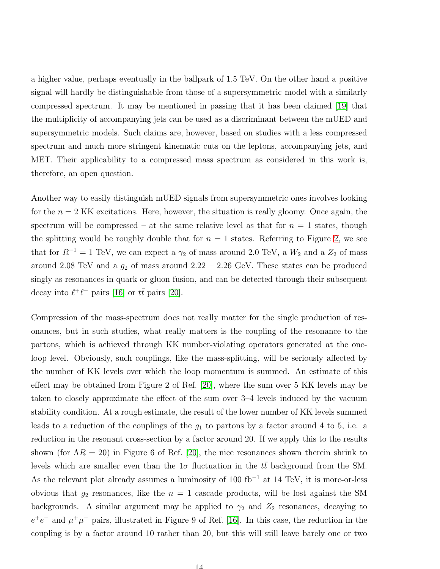a higher value, perhaps eventually in the ballpark of 1.5 TeV. On the other hand a positive signal will hardly be distinguishable from those of a supersymmetric model with a similarly compressed spectrum. It may be mentioned in passing that it has been claimed [\[19\]](#page-17-7) that the multiplicity of accompanying jets can be used as a discriminant between the mUED and supersymmetric models. Such claims are, however, based on studies with a less compressed spectrum and much more stringent kinematic cuts on the leptons, accompanying jets, and MET. Their applicability to a compressed mass spectrum as considered in this work is, therefore, an open question.

Another way to easily distinguish mUED signals from supersymmetric ones involves looking for the  $n = 2$  KK excitations. Here, however, the situation is really gloomy. Once again, the spectrum will be compressed – at the same relative level as that for  $n = 1$  states, though the splitting would be roughly double that for  $n = 1$  states. Referring to Figure [2,](#page-5-0) we see that for  $R^{-1} = 1$  TeV, we can expect a  $\gamma_2$  of mass around 2.0 TeV, a  $W_2$  and a  $Z_2$  of mass around 2.08 TeV and a  $g_2$  of mass around 2.22 – 2.26 GeV. These states can be produced singly as resonances in quark or gluon fusion, and can be detected through their subsequent decay into  $\ell^+\ell^-$  pairs [\[16\]](#page-17-8) or  $t\bar{t}$  pairs [\[20\]](#page-17-9).

Compression of the mass-spectrum does not really matter for the single production of resonances, but in such studies, what really matters is the coupling of the resonance to the partons, which is achieved through KK number-violating operators generated at the oneloop level. Obviously, such couplings, like the mass-splitting, will be seriously affected by the number of KK levels over which the loop momentum is summed. An estimate of this effect may be obtained from Figure 2 of Ref. [\[20\]](#page-17-9), where the sum over 5 KK levels may be taken to closely approximate the effect of the sum over 3–4 levels induced by the vacuum stability condition. At a rough estimate, the result of the lower number of KK levels summed leads to a reduction of the couplings of the  $g_1$  to partons by a factor around 4 to 5, i.e. a reduction in the resonant cross-section by a factor around 20. If we apply this to the results shown (for  $\Lambda R = 20$ ) in Figure 6 of Ref. [\[20\]](#page-17-9), the nice resonances shown therein shrink to levels which are smaller even than the  $1\sigma$  fluctuation in the  $t\bar{t}$  background from the SM. As the relevant plot already assumes a luminosity of 100 fb<sup>−</sup><sup>1</sup> at 14 TeV, it is more-or-less obvious that  $g_2$  resonances, like the  $n = 1$  cascade products, will be lost against the SM backgrounds. A similar argument may be applied to  $\gamma_2$  and  $Z_2$  resonances, decaying to  $e^+e^-$  and  $\mu^+\mu^-$  pairs, illustrated in Figure 9 of Ref. [\[16\]](#page-17-8). In this case, the reduction in the coupling is by a factor around 10 rather than 20, but this will still leave barely one or two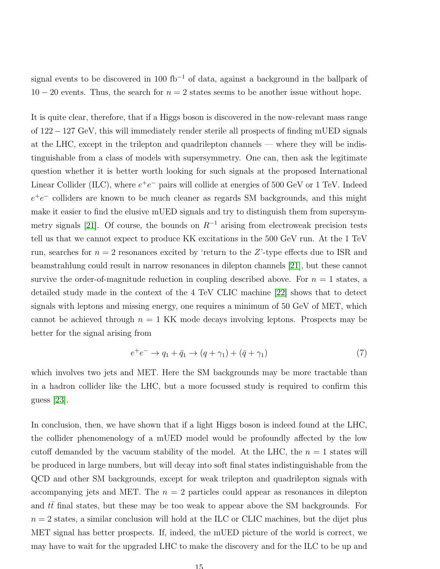signal events to be discovered in 100 fb<sup>-1</sup> of data, against a background in the ballpark of  $10 - 20$  events. Thus, the search for  $n = 2$  states seems to be another issue without hope.

It is quite clear, therefore, that if a Higgs boson is discovered in the now-relevant mass range of 122 − 127 GeV, this will immediately render sterile all prospects of finding mUED signals at the LHC, except in the trilepton and quadrilepton channels — where they will be indistinguishable from a class of models with supersymmetry. One can, then ask the legitimate question whether it is better worth looking for such signals at the proposed International Linear Collider (ILC), where  $e^+e^-$  pairs will collide at energies of 500 GeV or 1 TeV. Indeed  $e^+e^-$  colliders are known to be much cleaner as regards SM backgrounds, and this might make it easier to find the elusive mUED signals and try to distinguish them from supersym-metry signals [\[21\]](#page-17-10). Of course, the bounds on  $R^{-1}$  arising from electroweak precision tests tell us that we cannot expect to produce KK excitations in the 500 GeV run. At the 1 TeV run, searches for  $n = 2$  resonances excited by 'return to the Z'-type effects due to ISR and beamstrahlung could result in narrow resonances in dilepton channels [\[21\]](#page-17-10), but these cannot survive the order-of-magnitude reduction in coupling described above. For  $n = 1$  states, a detailed study made in the context of the 4 TeV CLIC machine [\[22\]](#page-17-11) shows that to detect signals with leptons and missing energy, one requires a minimum of 50 GeV of MET, which cannot be achieved through  $n = 1$  KK mode decays involving leptons. Prospects may be better for the signal arising from

$$
e^{+}e^{-} \to q_1 + \bar{q}_1 \to (q + \gamma_1) + (\bar{q} + \gamma_1)
$$
\n(7)

which involves two jets and MET. Here the SM backgrounds may be more tractable than in a hadron collider like the LHC, but a more focussed study is required to confirm this guess [\[23\]](#page-17-12).

In conclusion, then, we have shown that if a light Higgs boson is indeed found at the LHC, the collider phenomenology of a mUED model would be profoundly affected by the low cutoff demanded by the vacuum stability of the model. At the LHC, the  $n = 1$  states will be produced in large numbers, but will decay into soft final states indistinguishable from the QCD and other SM backgrounds, except for weak trilepton and quadrilepton signals with accompanying jets and MET. The  $n = 2$  particles could appear as resonances in dilepton and  $t\bar{t}$  final states, but these may be too weak to appear above the SM backgrounds. For  $n = 2$  states, a similar conclusion will hold at the ILC or CLIC machines, but the dijet plus MET signal has better prospects. If, indeed, the mUED picture of the world is correct, we may have to wait for the upgraded LHC to make the discovery and for the ILC to be up and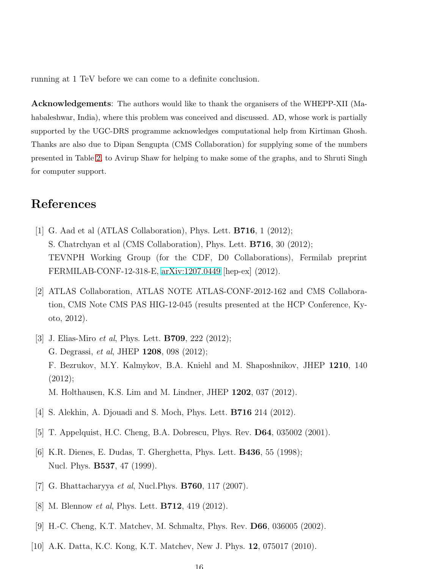running at 1 TeV before we can come to a definite conclusion.

Acknowledgements: The authors would like to thank the organisers of the WHEPP-XII (Mahabaleshwar, India), where this problem was conceived and discussed. AD, whose work is partially supported by the UGC-DRS programme acknowledges computational help from Kirtiman Ghosh. Thanks are also due to Dipan Sengupta (CMS Collaboration) for supplying some of the numbers presented in Table [2,](#page-11-0) to Avirup Shaw for helping to make some of the graphs, and to Shruti Singh for computer support.

## <span id="page-16-0"></span>References

- [1] G. Aad et al (ATLAS Collaboration), Phys. Lett. B716, 1 (2012); S. Chatrchyan et al (CMS Collaboration), Phys. Lett. **B716**, 30 (2012); TEVNPH Working Group (for the CDF, D0 Collaborations), Fermilab preprint FERMILAB-CONF-12-318-E, [arXiv:1207.0449](http://arxiv.org/abs/1207.0449) [hep-ex] (2012).
- <span id="page-16-1"></span>[2] ATLAS Collaboration, ATLAS NOTE ATLAS-CONF-2012-162 and CMS Collaboration, CMS Note CMS PAS HIG-12-045 (results presented at the HCP Conference, Kyoto, 2012).
- <span id="page-16-2"></span>[3] J. Elias-Miro *et al*, Phys. Lett. **B709**, 222 (2012); G. Degrassi, *et al*, JHEP **1208**, 098 (2012); F. Bezrukov, M.Y. Kalmykov, B.A. Kniehl and M. Shaposhnikov, JHEP 1210, 140 (2012); M. Holthausen, K.S. Lim and M. Lindner, JHEP 1202, 037 (2012).
- <span id="page-16-4"></span><span id="page-16-3"></span>[4] S. Alekhin, A. Djouadi and S. Moch, Phys. Lett. B716 214 (2012).
- <span id="page-16-5"></span>[5] T. Appelquist, H.C. Cheng, B.A. Dobrescu, Phys. Rev. D64, 035002 (2001).
- <span id="page-16-6"></span>[6] K.R. Dienes, E. Dudas, T. Gherghetta, Phys. Lett. B436, 55 (1998); Nucl. Phys. **B537**, 47 (1999).
- <span id="page-16-7"></span>[7] G. Bhattacharyya *et al*, Nucl. Phys. **B760**, 117 (2007).
- <span id="page-16-8"></span>[8] M. Blennow *et al*, Phys. Lett. **B712**, 419 (2012).
- <span id="page-16-9"></span>[9] H.-C. Cheng, K.T. Matchev, M. Schmaltz, Phys. Rev. D66, 036005 (2002).
- [10] A.K. Datta, K.C. Kong, K.T. Matchev, New J. Phys. 12, 075017 (2010).